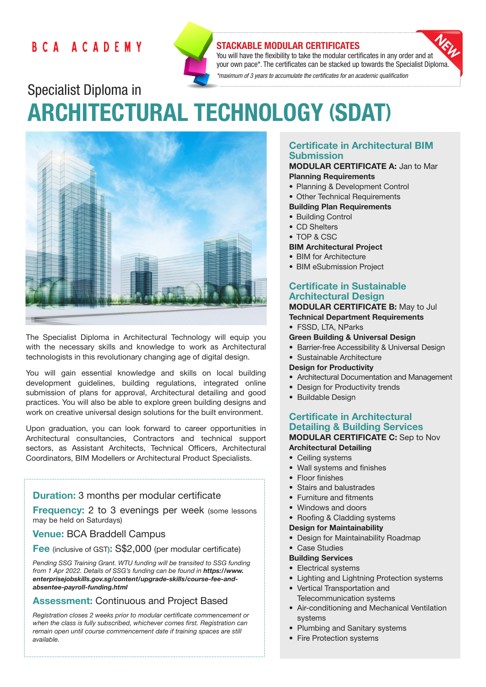# BCA ACADEMY



# STACKABLE MODULAR CERTIFICATES

You will have the flexibility to take the modular certificates in any order and at your own pace\*. The certificates can be stacked up towards the Specialist Diploma. *\*maximum of 3 years to accumulate the certificates for an academic qualification* 

Specialist Diploma in ARCHITECTURAL TECHNOLOGY (SDAT)



The Specialist Diploma in Architectural Technology will equip you with the necessary skills and knowledge to work as Architectural technologists in this revolutionary changing age of digital design.

You will gain essential knowledge and skills on local building development guidelines, building regulations, integrated online submission of plans for approval, Architectural detailing and good practices. You will also be able to explore green building designs and work on creative universal design solutions for the built environment.

Upon graduation, you can look forward to career opportunities in Architectural consultancies, Contractors and technical support sectors, as Assistant Architects, Technical Officers, Architectural Coordinators, BIM Modellers or Architectural Product Specialists.

# **Duration:** 3 months per modular certificate

**Frequency:** 2 to 3 evenings per week (some lessons) may be held on Saturdays)

# Venue: BCA Braddell Campus

Fee (inclusive of GST): S\$2,000 (per modular certificate)

*Pending SSG Training Grant. WTU funding will be transited to SSG funding from 1 Apr 2022. Details of SSG's funding can be found in https://www. enterprisejobskills.gov.sg/content/upgrade-skills/course-fee-andabsentee-payroll-funding.html*

# Assessment: Continuous and Project Based

*Registration closes 2 weeks prior to modular certificate commencement or when the class is fully subscribed, whichever comes first. Registration can remain open until course commencement date if training spaces are still available.*

# Certificate in Architectural BIM Submission

#### MODULAR CERTIFICATE A: Jan to Mar Planning Requirements

- Planning & Development Control
- Other Technical Requirements

### Building Plan Requirements

- Building Control
- CD Shelters
- TOP & CSC

#### BIM Architectural Project

- BIM for Architecture
- BIM eSubmission Project

# Certificate in Sustainable Architectural Design

# MODULAR CERTIFICATE B: May to Jul

- Technical Department Requirements
- FSSD, LTA, NParks
- Green Building & Universal Design
- Barrier-free Accessibility & Universal Design
- Sustainable Architecture

#### Design for Productivity

- Architectural Documentation and Management
- Design for Productivity trends
- Buildable Design

#### Certificate in Architectural Detailing & Building Services MODULAR CERTIFICATE C: Sep to Nov Architectural Detailing

- Ceiling systems
- Wall systems and finishes
- Floor finishes
- Stairs and balustrades
- Furniture and fitments
- Windows and doors
- Roofing & Cladding systems

#### Design for Maintainability

- Design for Maintainability Roadmap
- Case Studies

#### Building Services

- Electrical systems
- Lighting and Lightning Protection systems
- Vertical Transportation and Telecommunication systems
- Air-conditioning and Mechanical Ventilation systems
- Plumbing and Sanitary systems
- Fire Protection systems